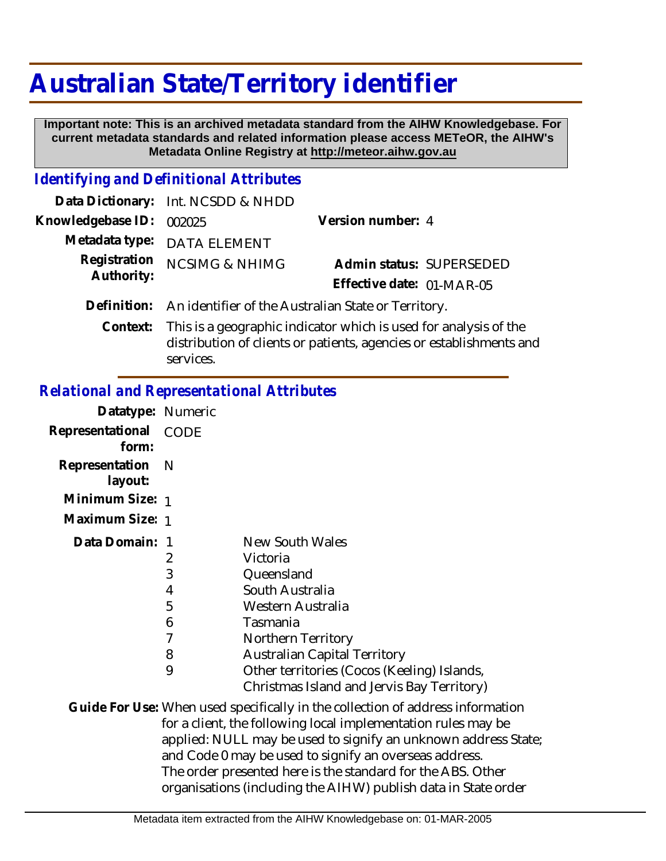# **Australian State/Territory identifier**

 **Important note: This is an archived metadata standard from the AIHW Knowledgebase. For current metadata standards and related information please access METeOR, the AIHW's Metadata Online Registry at http://meteor.aihw.gov.au**

#### *Identifying and Definitional Attributes*

|                   | Data Dictionary: Int. NCSDD & NHDD                                                                                                               |                           |  |
|-------------------|--------------------------------------------------------------------------------------------------------------------------------------------------|---------------------------|--|
| Knowledgebase ID: | 002025                                                                                                                                           | Version number: 4         |  |
|                   | Metadata type: DATA ELEMENT                                                                                                                      |                           |  |
| Registration      | <b>NCSIMG &amp; NHIMG</b>                                                                                                                        | Admin status: SUPERSEDED  |  |
| Authority:        |                                                                                                                                                  | Effective date: 01-MAR-05 |  |
|                   | Definition: An identifier of the Australian State or Territory.                                                                                  |                           |  |
|                   | Context: This is a geographic indicator which is used for analysis of the<br>distribution of clients or patients, agencies or establishments and |                           |  |

# *Relational and Representational Attributes*

services.

| Datatype: Numeric         |                                      |                                                                                                                                                                                                                                                                                                                                                                                                              |
|---------------------------|--------------------------------------|--------------------------------------------------------------------------------------------------------------------------------------------------------------------------------------------------------------------------------------------------------------------------------------------------------------------------------------------------------------------------------------------------------------|
| Representational<br>form: | <b>CODE</b>                          |                                                                                                                                                                                                                                                                                                                                                                                                              |
| Representation<br>layout: | N                                    |                                                                                                                                                                                                                                                                                                                                                                                                              |
| Minimum Size: 1           |                                      |                                                                                                                                                                                                                                                                                                                                                                                                              |
| Maximum Size: 1           |                                      |                                                                                                                                                                                                                                                                                                                                                                                                              |
| Data Domain: 1            | 2<br>3<br>4<br>5<br>6<br>7<br>8<br>9 | New South Wales<br>Victoria<br>Queensland<br>South Australia<br>Western Australia<br>Tasmania<br>Northern Territory<br><b>Australian Capital Territory</b><br>Other territories (Cocos (Keeling) Islands,<br>Christmas Island and Jervis Bay Territory)                                                                                                                                                      |
|                           |                                      | Guide For Use: When used specifically in the collection of address information<br>for a client, the following local implementation rules may be<br>applied: NULL may be used to signify an unknown address State;<br>and Code 0 may be used to signify an overseas address.<br>The order presented here is the standard for the ABS. Other<br>organisations (including the AIHW) publish data in State order |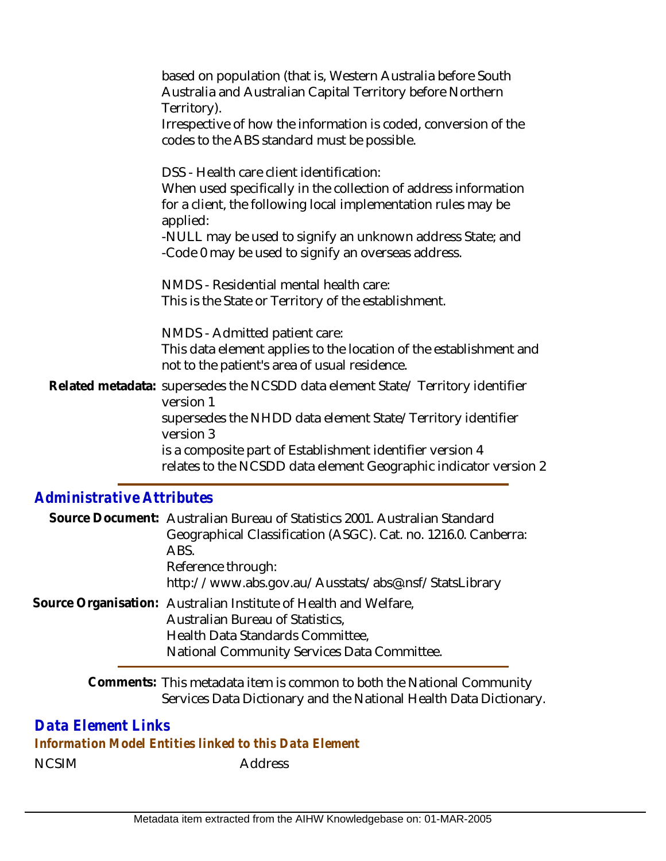based on population (that is, Western Australia before South Australia and Australian Capital Territory before Northern Territory).

Irrespective of how the information is coded, conversion of the codes to the ABS standard must be possible.

DSS - Health care client identification:

When used specifically in the collection of address information for a client, the following local implementation rules may be applied:

-NULL may be used to signify an unknown address State; and -Code 0 may be used to signify an overseas address.

NMDS - Residential mental health care: This is the State or Territory of the establishment.

NMDS - Admitted patient care:

This data element applies to the location of the establishment and not to the patient's area of usual residence.

Related metadata: supersedes the NCSDD data element State/ Territory identifier version 1 supersedes the NHDD data element State/Territory identifier version 3 is a composite part of Establishment identifier version 4 relates to the NCSDD data element Geographic indicator version 2

### *Administrative Attributes*

Source Document: Australian Bureau of Statistics 2001. Australian Standard Geographical Classification (ASGC). Cat. no. 1216.0. Canberra: ABS. Reference through: http://www.abs.gov.au/Ausstats/abs@.nsf/StatsLibrary

Source Organisation: Australian Institute of Health and Welfare, Australian Bureau of Statistics, Health Data Standards Committee, National Community Services Data Committee.

> Comments: This metadata item is common to both the National Community Services Data Dictionary and the National Health Data Dictionary.

#### *Data Element Links*

*Information Model Entities linked to this Data Element*

NCSIM Address